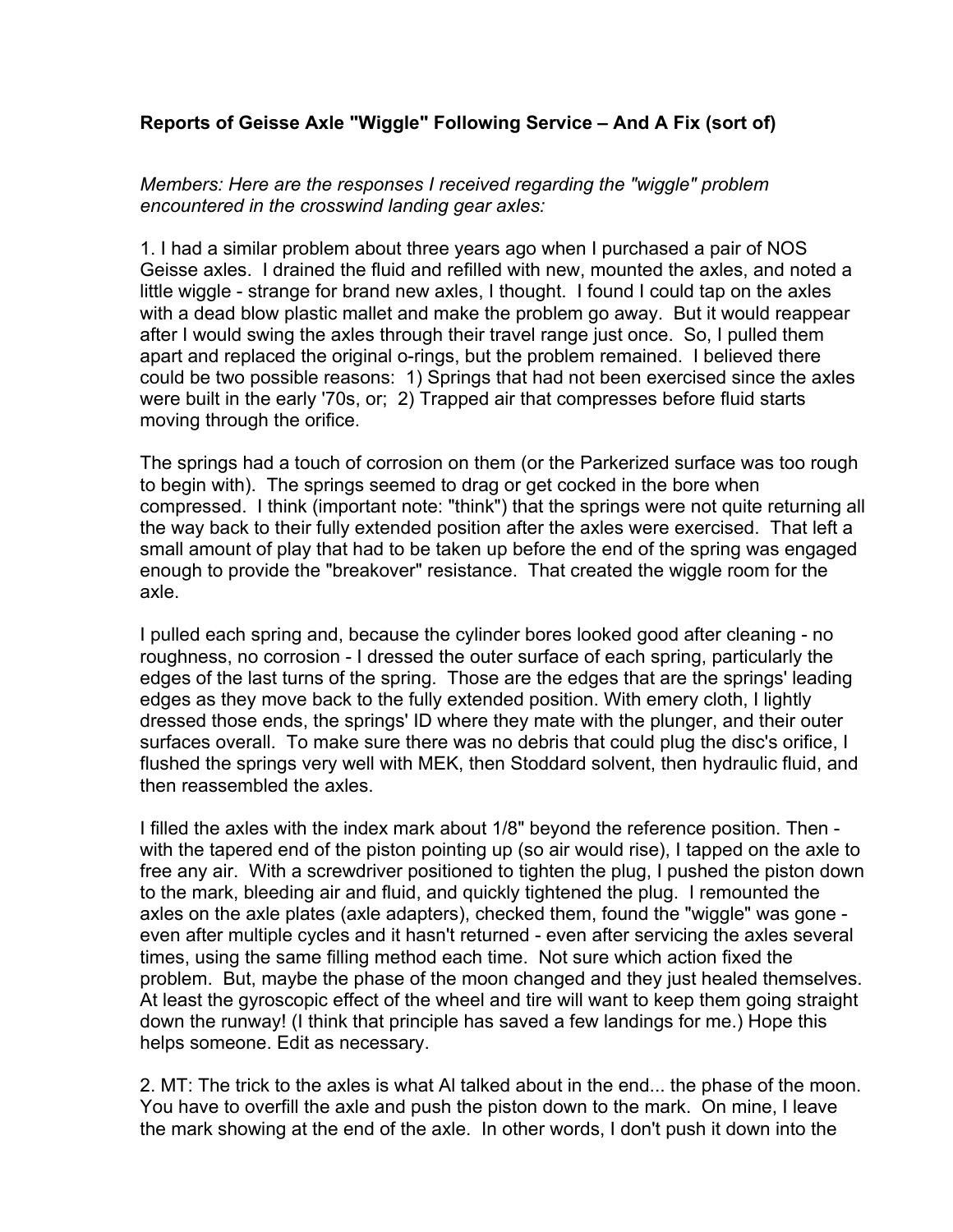## **Reports of Geisse Axle "Wiggle" Following Service – And A Fix (sort of)**

*Members: Here are the responses I received regarding the "wiggle" problem encountered in the crosswind landing gear axles:*

1. I had a similar problem about three years ago when I purchased a pair of NOS Geisse axles. I drained the fluid and refilled with new, mounted the axles, and noted a little wiggle - strange for brand new axles, I thought. I found I could tap on the axles with a dead blow plastic mallet and make the problem go away. But it would reappear after I would swing the axles through their travel range just once. So, I pulled them apart and replaced the original o-rings, but the problem remained. I believed there could be two possible reasons: 1) Springs that had not been exercised since the axles were built in the early '70s, or; 2) Trapped air that compresses before fluid starts moving through the orifice.

The springs had a touch of corrosion on them (or the Parkerized surface was too rough to begin with). The springs seemed to drag or get cocked in the bore when compressed. I think (important note: "think") that the springs were not quite returning all the way back to their fully extended position after the axles were exercised. That left a small amount of play that had to be taken up before the end of the spring was engaged enough to provide the "breakover" resistance. That created the wiggle room for the axle.

I pulled each spring and, because the cylinder bores looked good after cleaning - no roughness, no corrosion - I dressed the outer surface of each spring, particularly the edges of the last turns of the spring. Those are the edges that are the springs' leading edges as they move back to the fully extended position. With emery cloth, I lightly dressed those ends, the springs' ID where they mate with the plunger, and their outer surfaces overall. To make sure there was no debris that could plug the disc's orifice, I flushed the springs very well with MEK, then Stoddard solvent, then hydraulic fluid, and then reassembled the axles.

I filled the axles with the index mark about 1/8" beyond the reference position. Then with the tapered end of the piston pointing up (so air would rise), I tapped on the axle to free any air. With a screwdriver positioned to tighten the plug, I pushed the piston down to the mark, bleeding air and fluid, and quickly tightened the plug. I remounted the axles on the axle plates (axle adapters), checked them, found the "wiggle" was gone even after multiple cycles and it hasn't returned - even after servicing the axles several times, using the same filling method each time. Not sure which action fixed the problem. But, maybe the phase of the moon changed and they just healed themselves. At least the gyroscopic effect of the wheel and tire will want to keep them going straight down the runway! (I think that principle has saved a few landings for me.) Hope this helps someone. Edit as necessary.

2. MT: The trick to the axles is what Al talked about in the end... the phase of the moon. You have to overfill the axle and push the piston down to the mark. On mine, I leave the mark showing at the end of the axle. In other words, I don't push it down into the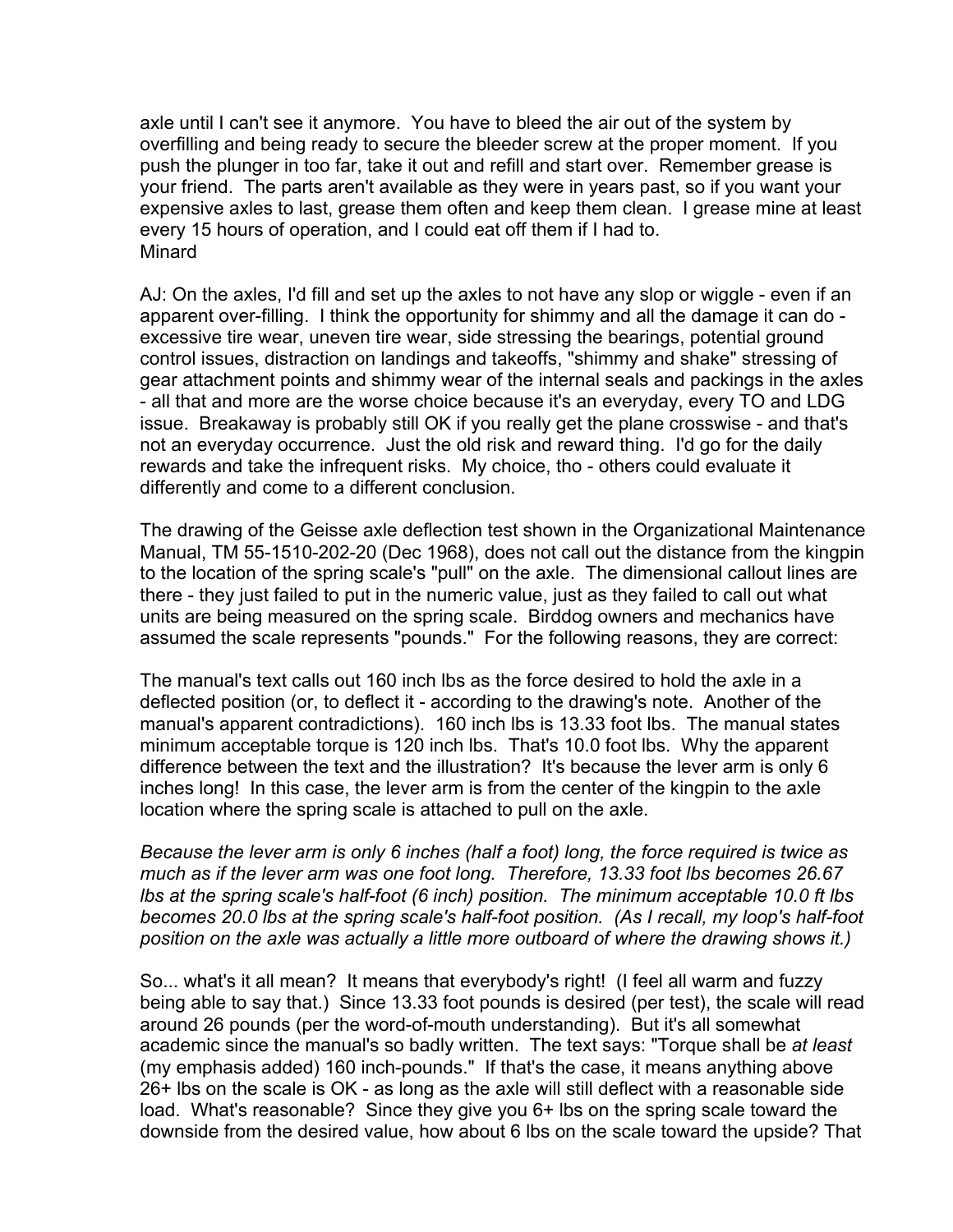axle until I can't see it anymore. You have to bleed the air out of the system by overfilling and being ready to secure the bleeder screw at the proper moment. If you push the plunger in too far, take it out and refill and start over. Remember grease is your friend. The parts aren't available as they were in years past, so if you want your expensive axles to last, grease them often and keep them clean. I grease mine at least every 15 hours of operation, and I could eat off them if I had to. Minard

AJ: On the axles, I'd fill and set up the axles to not have any slop or wiggle - even if an apparent over-filling. I think the opportunity for shimmy and all the damage it can do excessive tire wear, uneven tire wear, side stressing the bearings, potential ground control issues, distraction on landings and takeoffs, "shimmy and shake" stressing of gear attachment points and shimmy wear of the internal seals and packings in the axles - all that and more are the worse choice because it's an everyday, every TO and LDG issue. Breakaway is probably still OK if you really get the plane crosswise - and that's not an everyday occurrence. Just the old risk and reward thing. I'd go for the daily rewards and take the infrequent risks. My choice, tho - others could evaluate it differently and come to a different conclusion.

The drawing of the Geisse axle deflection test shown in the Organizational Maintenance Manual, TM 55-1510-202-20 (Dec 1968), does not call out the distance from the kingpin to the location of the spring scale's "pull" on the axle. The dimensional callout lines are there - they just failed to put in the numeric value, just as they failed to call out what units are being measured on the spring scale. Birddog owners and mechanics have assumed the scale represents "pounds." For the following reasons, they are correct:

The manual's text calls out 160 inch lbs as the force desired to hold the axle in a deflected position (or, to deflect it - according to the drawing's note. Another of the manual's apparent contradictions). 160 inch lbs is 13.33 foot lbs. The manual states minimum acceptable torque is 120 inch lbs. That's 10.0 foot lbs. Why the apparent difference between the text and the illustration? It's because the lever arm is only 6 inches long! In this case, the lever arm is from the center of the kingpin to the axle location where the spring scale is attached to pull on the axle.

*Because the lever arm is only 6 inches (half a foot) long, the force required is twice as much as if the lever arm was one foot long. Therefore, 13.33 foot lbs becomes 26.67 lbs at the spring scale's half-foot (6 inch) position. The minimum acceptable 10.0 ft lbs becomes 20.0 lbs at the spring scale's half-foot position. (As I recall, my loop's half-foot position on the axle was actually a little more outboard of where the drawing shows it.)*

So... what's it all mean? It means that everybody's right! (I feel all warm and fuzzy being able to say that.) Since 13.33 foot pounds is desired (per test), the scale will read around 26 pounds (per the word-of-mouth understanding). But it's all somewhat academic since the manual's so badly written. The text says: "Torque shall be *at least* (my emphasis added) 160 inch-pounds." If that's the case, it means anything above 26+ lbs on the scale is OK - as long as the axle will still deflect with a reasonable side load. What's reasonable? Since they give you 6+ lbs on the spring scale toward the downside from the desired value, how about 6 lbs on the scale toward the upside? That